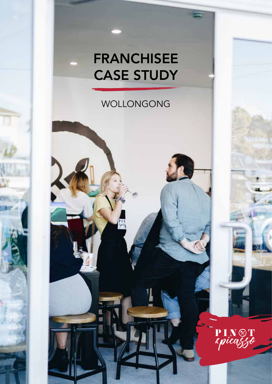# FRANCHISEE CASE STUDY

## WOLLONGONG

 $\frac{\mathbf{p}_1}{\varepsilon \rho u}$ 

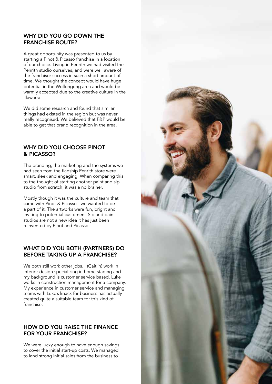#### WHY DID YOU GO DOWN THE FRANCHISE ROUTE?

A great opportunity was presented to us by starting a Pinot & Picasso franchise in a location of our choice. Living in Penrith we had visited the Penrith studio ourselves, and were well aware of the franchisor success in such a short amount of time. We thought the concept would have huge potential in the Wollongong area and would be warmly accepted due to the creative culture in the Illawarra.

We did some research and found that similar things had existed in the region but was never really recognised. We believed that P&P would be able to get that brand recognition in the area.

#### WHY DID YOU CHOOSE PINOT & PICASSO?

The branding, the marketing and the systems we had seen from the flagship Penrith store were smart, sleek and engaging. When comparing this to the thought of starting another paint and sip studio from scratch, it was a no brainer.

Mostly though it was the culture and team that came with Pinot & Picasso - we wanted to be a part of it. The artworks were fun, bright and inviting to potential customers. Sip and paint studios are not a new idea it has just been reinvented by Pinot and Picasso!

#### WHAT DID YOU BOTH (PARTNERS) DO BEFORE TAKING UP A FRANCHISE?

We both still work other jobs. I (Caitlin) work in interior design specializing in home staging and my background is customer service based. Luke works in construction management for a company. My experience in customer service and managing teams with Luke's knack for business has actually created quite a suitable team for this kind of franchise.

#### HOW DID YOU RAISE THE FINANCE FOR YOUR FRANCHISE?

We were lucky enough to have enough savings to cover the initial start-up costs. We managed to land strong initial sales from the business to

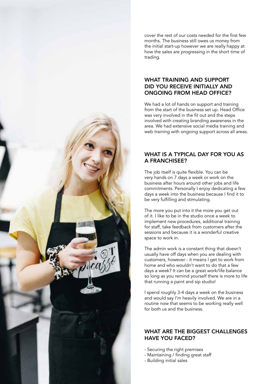cover the rest of our costs needed for the first few months. The business still owes us money from the initial start-up however we are really happy at how the sales are progressing in the short time of trading.

#### WHAT TRAINING AND SUPPORT DID YOU RECEIVE INITIALLY AND ONGOING FROM HEAD OFFICE?

We had a lot of hands on support and training from the start of the business set up. Head Office was very involved in the fit out and the steps involved with creating branding awareness in the area. We had extensive social media training and web training with ongoing support across all areas.

#### WHAT IS A TYPICAL DAY FOR YOU AS A FRANCHISEE?

The job itself is quite flexible. You can be very hands on 7 days a week or work on the business after hours around other jobs and life commitments. Personally I enjoy dedicating a few days a week into the business because I find it to be very fulfilling and stimulating.

The more you put into it the more you get out of it. I like to be in the studio once a week to implement new procedures, additional training for staff, take feedback from customers after the sessions and because it is a wonderful creative space to work in.

The admin work is a constant thing that doesn't usually have off days when you are dealing with customers, however - it means I get to work from home and who wouldn't want to do that a few days a week? It can be a great work/life balance so long as you remind yourself there is more to life that running a paint and sip studio!

I spend roughly 3-4 days a week on the business and would say I'm heavily involved. We are in a routine now that seems to be working really well for both us and the business.

#### WHAT ARE THE BIGGEST CHALLENGES HAVE YOU FACED?

- Securing the right premises
- Maintaining / finding great staff
- Building initial sales